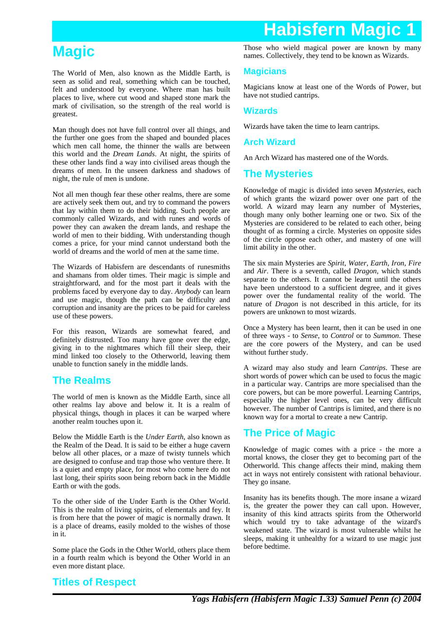# **Magic**

The World of Men, also known as the Middle Earth, is seen as solid and real, something which can be touched, felt and understood by everyone. Where man has built places to live, where cut wood and shaped stone mark the mark of civilisation, so the strength of the real world is greatest.

Man though does not have full control over all things, and the further one goes from the shaped and bounded places which men call home, the thinner the walls are between this world and the *Dream Lands*. At night, the spirits of these other lands find a way into civilised areas though the dreams of men. In the unseen darkness and shadows of night, the rule of men is undone.

Not all men though fear these other realms, there are some are actively seek them out, and try to command the powers that lay within them to do their bidding. Such people are commonly called Wizards, and with runes and words of power they can awaken the dream lands, and reshape the world of men to their bidding. With understanding though comes a price, for your mind cannot understand both the world of dreams and the world of men at the same time.

The Wizards of Habisfern are descendants of runesmiths and shamans from older times. Their magic is simple and straightforward, and for the most part it deals with the problems faced by everyone day to day. *Anybody* can learn and use magic, though the path can be difficulty and corruption and insanity are the prices to be paid for careless use of these powers.

For this reason, Wizards are somewhat feared, and definitely distrusted. Too many have gone over the edge, giving in to the nightmares which fill their sleep, their mind linked too closely to the Otherworld, leaving them unable to function sanely in the middle lands.

### **The Realms**

The world of men is known as the Middle Earth, since all other realms lay above and below it. It is a realm of physical things, though in places it can be warped where another realm touches upon it.

Below the Middle Earth is the *Under Earth*, also known as the Realm of the Dead. It is said to be either a huge cavern below all other places, or a maze of twisty tunnels which are designed to confuse and trap those who venture there. It is a quiet and empty place, for most who come here do not last long, their spirits soon being reborn back in the Middle Earth or with the gods.

To the other side of the Under Earth is the Other World. This is the realm of living spirits, of elementals and fey. It is from here that the power of magic is normally drawn. It is a place of dreams, easily molded to the wishes of those in it.

Some place the Gods in the Other World, others place them in a fourth realm which is beyond the Other World in an even more distant place.

Those who wield magical power are known by many names. Collectively, they tend to be known as Wizards.

#### **Magicians**

Magicians know at least one of the Words of Power, but have not studied cantrips.

#### **Wizards**

Wizards have taken the time to learn cantrips.

#### **Arch Wizard**

An Arch Wizard has mastered one of the Words.

### **The Mysteries**

Knowledge of magic is divided into seven *Mysteries*, each of which grants the wizard power over one part of the world. A wizard may learn any number of Mysteries, though many only bother learning one or two. Six of the Mysteries are considered to be related to each other, being thought of as forming a circle. Mysteries on opposite sides of the circle oppose each other, and mastery of one will limit ability in the other.

The six main Mysteries are *Spirit*, *Water*, *Earth*, *Iron*, *Fire* and *Air*. There is a seventh, called *Dragon*, which stands separate to the others. It cannot be learnt until the others have been understood to a sufficient degree, and it gives power over the fundamental reality of the world. The nature of *Dragon* is not described in this article, for its powers are unknown to most wizards.

Once a Mystery has been learnt, then it can be used in one of three ways - to *Sense*, to *Control* or to *Summon*. These are the core powers of the Mystery, and can be used without further study.

A wizard may also study and learn *Cantrips*. These are short words of power which can be used to focus the magic in a particular way. Cantrips are more specialised than the core powers, but can be more powerful. Learning Cantrips, especially the higher level ones, can be very difficult however. The number of Cantrips is limited, and there is no known way for a mortal to create a new Cantrip.

# **The Price of Magic**

Knowledge of magic comes with a price - the more a mortal knows, the closer they get to becoming part of the Otherworld. This change affects their mind, making them act in ways not entirely consistent with rational behaviour. They go insane.

Insanity has its benefits though. The more insane a wizard is, the greater the power they can call upon. However, insanity of this kind attracts spirits from the Otherworld which would try to take advantage of the wizard's weakened state. The wizard is most vulnerable whilst he sleeps, making it unhealthy for a wizard to use magic just before bedtime.

# **Titles of Respect**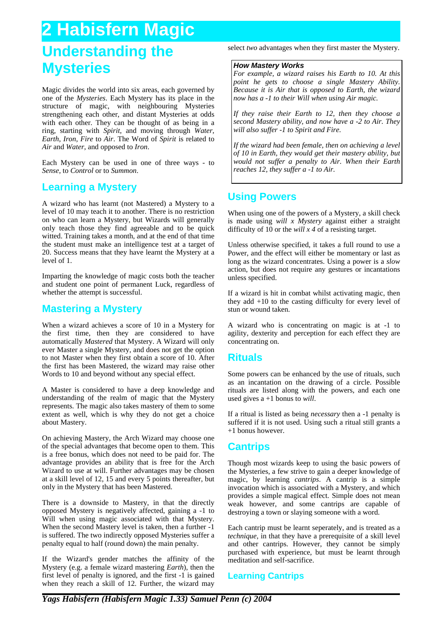# **Understanding the Mysteries 2 Habisfern Magic**

Magic divides the world into six areas, each governed by one of the *Mysteries*. Each Mystery has its place in the structure of magic, with neighbouring Mysteries strengthening each other, and distant Mysteries at odds with each other. They can be thought of as being in a ring, starting with *Spirit*, and moving through *Water*, *Earth*, *Iron*, *Fire* to *Air*. The Word of *Spirit* is related to *Air* and *Water*, and opposed to *Iron*.

Each Mystery can be used in one of three ways - to *Sense*, to *Control* or to *Summon*.

# **Learning a Mystery**

A wizard who has learnt (not Mastered) a Mystery to a level of 10 may teach it to another. There is no restriction on who can learn a Mystery, but Wizards will generally only teach those they find agreeable and to be quick witted. Training takes a month, and at the end of that time the student must make an intelligence test at a target of 20. Success means that they have learnt the Mystery at a level of 1.

Imparting the knowledge of magic costs both the teacher and student one point of permanent Luck, regardless of whether the attempt is successful.

### **Mastering a Mystery**

When a wizard achieves a score of 10 in a Mystery for the first time, then they are considered to have automatically *Mastered* that Mystery. A Wizard will only ever Master a single Mystery, and does not get the option to not Master when they first obtain a score of 10. After the first has been Mastered, the wizard may raise other Words to 10 and beyond without any special effect.

A Master is considered to have a deep knowledge and understanding of the realm of magic that the Mystery represents. The magic also takes mastery of them to some extent as well, which is why they do not get a choice about Mastery.

On achieving Mastery, the Arch Wizard may choose one of the special advantages that become open to them. This is a free bonus, which does not need to be paid for. The advantage provides an ability that is free for the Arch Wizard to use at will. Further advantages may be chosen at a skill level of 12, 15 and every 5 points thereafter, but only in the Mystery that has been Mastered.

There is a downside to Mastery, in that the directly opposed Mystery is negatively affected, gaining a -1 to Will when using magic associated with that Mystery. When the second Mastery level is taken, then a further -1 is suffered. The two indirectly opposed Mysteries suffer a penalty equal to half (round down) the main penalty.

If the Wizard's gender matches the affinity of the Mystery (e.g. a female wizard mastering *Earth*), then the first level of penalty is ignored, and the first -1 is gained when they reach a skill of 12. Further, the wizard may

select *two* advantages when they first master the Mystery.

#### **How Mastery Works**

*For example, a wizard raises his Earth to 10. At this point he gets to choose a single Mastery Ability. Because it is Air that is opposed to Earth, the wizard now has a -1 to their Will when using Air magic.*

*If they raise their Earth to 12, then they choose a second Mastery ability, and now have a -2 to Air. They will also suffer -1 to Spirit and Fire.*

*If the wizard had been female, then on achieving a level of 10 in Earth, they would get their mastery ability, but would not suffer a penalty to Air. When their Earth reaches 12, they suffer a -1 to Air.*

## **Using Powers**

When using one of the powers of a Mystery, a skill check is made using *will x Mystery* against either a straight difficulty of 10 or the *will x 4* of a resisting target.

Unless otherwise specified, it takes a full round to use a Power, and the effect will either be momentary or last as long as the wizard concentrates. Using a power is a *slow* action, but does not require any gestures or incantations unless specified.

If a wizard is hit in combat whilst activating magic, then they add +10 to the casting difficulty for every level of stun or wound taken.

A wizard who is concentrating on magic is at -1 to agility, dexterity and perception for each effect they are concentrating on.

### **Rituals**

Some powers can be enhanced by the use of rituals, such as an incantation on the drawing of a circle. Possible rituals are listed along with the powers, and each one used gives a +1 bonus to *will*.

If a ritual is listed as being *necessary* then a -1 penalty is suffered if it is not used. Using such a ritual still grants a +1 bonus however.

### **Cantrips**

Though most wizards keep to using the basic powers of the Mysteries, a few strive to gain a deeper knowledge of magic, by learning *cantrips*. A cantrip is a simple invocation which is associated with a Mystery, and which provides a simple magical effect. Simple does not mean weak however, and some cantrips are capable of destroying a town or slaying someone with a word.

Each cantrip must be learnt seperately, and is treated as a *technique*, in that they have a prerequisite of a skill level and other cantrips. However, they cannot be simply purchased with experience, but must be learnt through meditation and self-sacrifice.

#### **Learning Cantrips**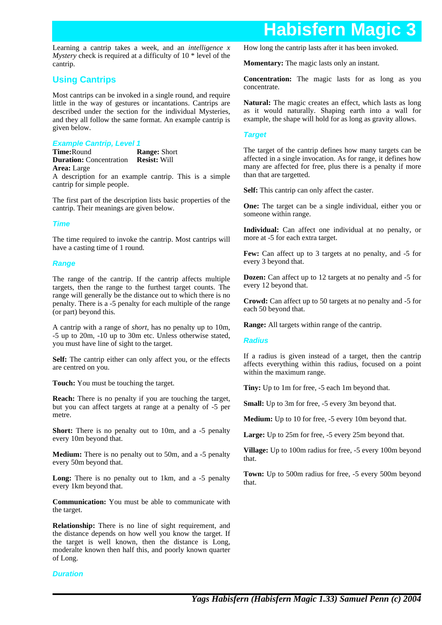Learning a cantrip takes a week, and an *intelligence x Mystery* check is required at a difficulty of 10 \* level of the cantrip.

#### **Using Cantrips**

Most cantrips can be invoked in a single round, and require little in the way of gestures or incantations. Cantrips are described under the section for the individual Mysteries, and they all follow the same format. An example cantrip is given below.

#### **Example Cantrip, Level 1**

**Time:**Round **Range:** Short **Duration:** Concentration **Resist:** Will

**Area:** Large

A description for an example cantrip. This is a simple cantrip for simple people.

The first part of the description lists basic properties of the cantrip. Their meanings are given below.

#### **Time**

The time required to invoke the cantrip. Most cantrips will have a casting time of 1 round.

#### **Range**

The range of the cantrip. If the cantrip affects multiple targets, then the range to the furthest target counts. The range will generally be the distance out to which there is no penalty. There is a -5 penalty for each multiple of the range (or part) beyond this.

A cantrip with a range of *short*, has no penalty up to 10m, -5 up to 20m, -10 up to 30m etc. Unless otherwise stated, you must have line of sight to the target.

**Self:** The cantrip either can only affect you, or the effects are centred on you.

**Touch:** You must be touching the target.

**Reach:** There is no penalty if you are touching the target, but you can affect targets at range at a penalty of -5 per metre.

**Short:** There is no penalty out to 10m, and a -5 penalty every 10m beyond that.

**Medium:** There is no penalty out to 50m, and a -5 penalty every 50m beyond that.

Long: There is no penalty out to 1km, and a -5 penalty every 1km beyond that.

**Communication:** You must be able to communicate with the target.

**Relationship:** There is no line of sight requirement, and the distance depends on how well you know the target. If the target is well known, then the distance is Long, moderalte known then half this, and poorly known quarter of Long.

#### **Duration**

How long the cantrip lasts after it has been invoked.

**Momentary:** The magic lasts only an instant.

**Concentration:** The magic lasts for as long as you concentrate.

**Habisfern Magic 3**

**Natural:** The magic creates an effect, which lasts as long as it would naturally. Shaping earth into a wall for example, the shape will hold for as long as gravity allows.

#### **Target**

The target of the cantrip defines how many targets can be affected in a single invocation. As for range, it defines how many are affected for free, plus there is a penalty if more than that are targetted.

**Self:** This cantrip can only affect the caster.

**One:** The target can be a single individual, either you or someone within range.

**Individual:** Can affect one individual at no penalty, or more at -5 for each extra target.

**Few:** Can affect up to 3 targets at no penalty, and -5 for every 3 beyond that.

**Dozen:** Can affect up to 12 targets at no penalty and -5 for every 12 beyond that.

**Crowd:** Can affect up to 50 targets at no penalty and -5 for each 50 beyond that.

**Range:** All targets within range of the cantrip.

#### **Radius**

If a radius is given instead of a target, then the cantrip affects everything within this radius, focused on a point within the maximum range.

**Tiny:** Up to 1m for free, -5 each 1m beyond that.

**Small:** Up to 3m for free,  $-5$  every 3m beyond that.

**Medium:** Up to 10 for free, -5 every 10m beyond that.

**Large:** Up to 25m for free, -5 every 25m beyond that.

**Village:** Up to 100m radius for free, -5 every 100m beyond that.

**Town:** Up to 500m radius for free, -5 every 500m beyond that.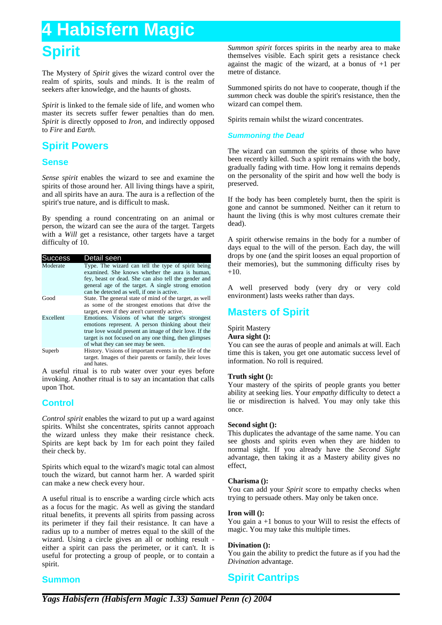# **Spirit 4 Habisfern Magic**

The Mystery of *Spirit* gives the wizard control over the realm of spirits, souls and minds. It is the realm of seekers after knowledge, and the haunts of ghosts.

*Spirit* is linked to the female side of life, and women who master its secrets suffer fewer penalties than do men. *Spirit* is directly opposed to *Iron*, and indirectly opposed to *Fire* and *Earth*.

# **Spirit Powers**

#### **Sense**

*Sense spirit* enables the wizard to see and examine the spirits of those around her. All living things have a spirit, and all spirits have an aura. The aura is a reflection of the spirit's true nature, and is difficult to mask.

By spending a round concentrating on an animal or person, the wizard can see the aura of the target. Targets with a *Will* get a resistance, other targets have a target difficulty of 10.

| <b>Success</b> | Detail seen                                                                                                                                                                                                                                                      |
|----------------|------------------------------------------------------------------------------------------------------------------------------------------------------------------------------------------------------------------------------------------------------------------|
| Moderate       | Type. The wizard can tell the type of spirit being<br>examined. She knows whether the aura is human.<br>fey, beast or dead. She can also tell the gender and<br>general age of the target. A single strong emotion<br>can be detected as well, if one is active. |
| Good           | State. The general state of mind of the target, as well<br>as some of the strongest emotions that drive the<br>target, even if they aren't currently active.                                                                                                     |
| Excellent      | Emotions. Visions of what the target's strongest<br>emotions represent. A person thinking about their<br>true love would present an image of their love. If the<br>target is not focused on any one thing, then glimpses<br>of what they can see may be seen.    |
| Superb         | History. Visions of important events in the life of the<br>target. Images of their parents or family, their loves<br>and hates.                                                                                                                                  |

A useful ritual is to rub water over your eyes before invoking. Another ritual is to say an incantation that calls upon Thot.

### **Control**

*Control spirit* enables the wizard to put up a ward against spirits. Whilst she concentrates, spirits cannot approach the wizard unless they make their resistance check. Spirits are kept back by 1m for each point they failed their check by.

Spirits which equal to the wizard's magic total can almost touch the wizard, but cannot harm her. A warded spirit can make a new check every hour.

A useful ritual is to enscribe a warding circle which acts as a focus for the magic. As well as giving the standard ritual benefits, it prevents all spirits from passing across its perimeter if they fail their resistance. It can have a radius up to a number of metres equal to the skill of the wizard. Using a circle gives an all or nothing result either a spirit can pass the perimeter, or it can't. It is useful for protecting a group of people, or to contain a spirit.

#### **Summon**

*Summon spirit* forces spirits in the nearby area to make themselves visible. Each spirit gets a resistance check against the magic of the wizard, at a bonus of  $+1$  per metre of distance.

Summoned spirits do not have to cooperate, though if the *summon* check was double the spirit's resistance, then the wizard can compel them.

Spirits remain whilst the wizard concentrates.

#### **Summoning the Dead**

The wizard can summon the spirits of those who have been recently killed. Such a spirit remains with the body, gradually fading with time. How long it remains depends on the personality of the spirit and how well the body is preserved.

If the body has been completely burnt, then the spirit is gone and cannot be summoned. Neither can it return to haunt the living (this is why most cultures cremate their dead).

A spirit otherwise remains in the body for a number of days equal to the will of the person. Each day, the will drops by one (and the spirit looses an equal proportion of their memories), but the summoning difficulty rises by  $+10.$ 

A well preserved body (very dry or very cold environment) lasts weeks rather than days.

## **Masters of Spirit**

#### Spirit Mastery

#### **Aura sight ():**

You can see the auras of people and animals at will. Each time this is taken, you get one automatic success level of information. No roll is required.

#### **Truth sight ():**

Your mastery of the spirits of people grants you better ability at seeking lies. Your *empathy* difficulty to detect a lie or misdirection is halved. You may only take this once.

#### **Second sight ():**

This duplicates the advantage of the same name. You can see ghosts and spirits even when they are hidden to normal sight. If you already have the *Second Sight* advantage, then taking it as a Mastery ability gives no effect,

#### **Charisma ():**

You can add your *Spirit* score to empathy checks when trying to persuade others. May only be taken once.

#### **Iron will ():**

You gain  $a +1$  bonus to your Will to resist the effects of magic. You may take this multiple times.

#### **Divination ():**

You gain the ability to predict the future as if you had the *Divination* advantage.

# **Spirit Cantrips**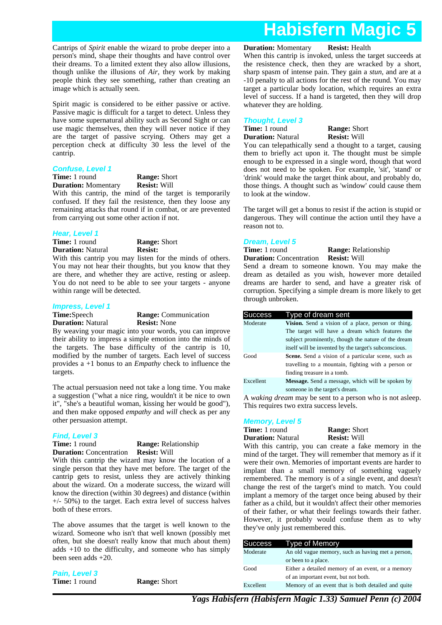Cantrips of *Spirit* enable the wizard to probe deeper into a person's mind, shape their thoughts and have control over their dreams. To a limited extent they also allow illusions, though unlike the illusions of *Air*, they work by making people think they see something, rather than creating an image which is actually seen.

Spirit magic is considered to be either passive or active. Passive magic is difficult for a target to detect. Unless they have some supernatural ability such as Second Sight or can use magic themselves, then they will never notice if they are the target of passive scrying. Others may get a perception check at difficulty 30 less the level of the cantrip.

#### **Confuse, Level 1**

**Time:** 1 round **Range:** Short

**Duration:** Momentary **Resist:** Will

With this cantrip, the mind of the target is temporarily confused. If they fail the resistence, then they loose any remaining attacks that round if in combat, or are prevented from carrying out some other action if not.

#### **Hear, Level 1**

**Time:** 1 round **Range:** Short **Duration:** Natural **Resist:**

With this cantrip you may listen for the minds of others. You may not hear their thoughts, but you know that they are there, and whether they are active, resting or asleep. You do not need to be able to see your targets - anyone within range will be detected.

#### **Impress, Level 1**

**Time:**Speech **Range:** Communication **Duration:** Natural **Resist:** None

By weaving your magic into your words, you can improve their ability to impress a simple emotion into the minds of the targets. The base difficulty of the cantrip is 10, modified by the number of targets. Each level of success provides a +1 bonus to an *Empathy* check to influence the targets.

The actual persuasion need not take a long time. You make a suggestion ("what a nice ring, wouldn't it be nice to own it", "she's a beautiful woman, kissing her would be good"), and then make opposed *empathy* and *will* check as per any other persuasion attempt.

# **Find, Level 3**

**Range: Relationship Resist: Will Duration:** Concentration

With this cantrip the wizard may know the location of a single person that they have met before. The target of the cantrip gets to resist, unless they are actively thinking about the wizard. On a moderate success, the wizard will know the direction (within 30 degrees) and distance (within +/- 50%) to the target. Each extra level of success halves both of these errors.

The above assumes that the target is well known to the wizard. Someone who isn't that well known (possibly met often, but she doesn't really know that much about them) adds +10 to the difficulty, and someone who has simply been seen adds +20.

**Pain, Level 3 Time:** 1 round **Range:** Short of an important event, but not both.

**Duration:** Momentary **Resist:** Health

When this cantrip is invoked, unless the target succeeds at the resistence check, then they are wracked by a short, sharp spasm of intense pain. They gain a *stun*, and are at a -10 penalty to all actions for the rest of the round. You may target a particular body location, which requires an extra level of success. If a hand is targeted, then they will drop whatever they are holding.

#### **Thought, Level 3**

**Time:** 1 round **Range:** Short **Duration:** Natural **Resist:** Will

You can telepathically send a thought to a target, causing them to briefly act upon it. The thought must be simple enough to be expressed in a single word, though that word does not need to be spoken. For example, 'sit', 'stand' or 'drink' would make the target think about, and probably do, those things. A thought such as 'window' could cause them to look at the window.

The target will get a bonus to resist if the action is stupid or dangerous. They will continue the action until they have a reason not to.

#### **Dream, Level 5**

**Time:** 1 round **Range:** Relationship

**Duration:** Concentration **Resist:** Will

Send a dream to someone known. You may make the dream as detailed as you wish, however more detailed dreams are harder to send, and have a greater risk of corruption. Specifying a simple dream is more likely to get through unbroken.

| Success   | Type of dream sent                                      |
|-----------|---------------------------------------------------------|
| Moderate  | Vision. Send a vision of a place, person or thing.      |
|           | The target will have a dream which features the         |
|           | subject prominently, though the nature of the dream     |
|           | itself will be invented by the target's subconscious.   |
| Good      | Scene. Send a vision of a particular scene, such as     |
|           | travelling to a mountain, fighting with a person or     |
|           | finding treasure in a tomb.                             |
| Excellent | <b>Message.</b> Send a message, which will be spoken by |
|           | someone in the target's dream.                          |

A *waking dream* may be sent to a person who is not asleep. This requires two extra success levels.

#### **Memory, Level 5**

**Time:** 1 round **Range:** Short **Duration:** Natural **Resist:** Will

With this cantrip, you can create a fake memory in the mind of the target. They will remember that memory as if it were their own. Memories of important events are harder to implant than a small memory of something vaguely remembered. The memory is of a single event, and doesn't change the rest of the target's mind to match. You could implant a memory of the target once being abused by their father as a child, but it wouldn't affect their other memories of their father, or what their feelings towards their father. However, it probably would confuse them as to why they've only just remembered this.

| Moderate  | An old vague memory, such as having met a person,  |
|-----------|----------------------------------------------------|
|           | or been to a place.                                |
| Good      | Either a detailed memory of an event, or a memory  |
|           | of an important event, but not both.               |
| Excellent | Memory of an event that is both detailed and quite |

*Yags Habisfern (Habisfern Magic 1.33) Samuel Penn (c) 2004*

Success Type of Memory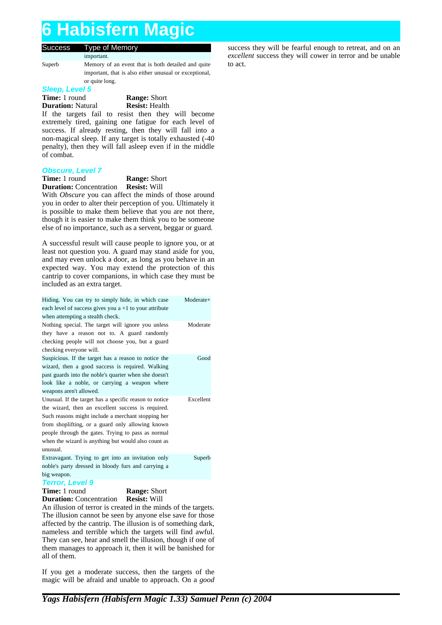#### Success Type of Memory important.

Superb Memory of an event that is both detailed and quite

#### or quite long.

**Sleep, Level 5**

**Time:** 1 round **Range:** Short **Duration:** Natural **Resist:** Health

important, that is also either unusual or exceptional,

If the targets fail to resist then they will become extremely tired, gaining one fatigue for each level of success. If already resting, then they will fall into a non-magical sleep. If any target is totally exhausted (-40 penalty), then they will fall asleep even if in the middle of combat.

#### **Obscure, Level 7**

#### **Time:** 1 round **Range:** Short

**Duration:** Concentration **Resist:** Will

With *Obscure* you can affect the minds of those around you in order to alter their perception of you. Ultimately it is possible to make them believe that you are not there, though it is easier to make them think you to be someone else of no importance, such as a servent, beggar or guard.

A successful result will cause people to ignore you, or at least not question you. A guard may stand aside for you, and may even unlock a door, as long as you behave in an expected way. You may extend the protection of this cantrip to cover companions, in which case they must be included as an extra target.

| Hiding. You can try to simply hide, in which case<br>each level of success gives you $a + 1$ to your attribute<br>when attempting a stealth check.                                                                                                                                                                                              | Moderate+ |
|-------------------------------------------------------------------------------------------------------------------------------------------------------------------------------------------------------------------------------------------------------------------------------------------------------------------------------------------------|-----------|
| Nothing special. The target will ignore you unless<br>they have a reason not to. A guard randomly<br>checking people will not choose you, but a guard<br>checking everyone will.                                                                                                                                                                | Moderate  |
| Suspicious. If the target has a reason to notice the<br>wizard, then a good success is required. Walking<br>past guards into the noble's quarter when she doesn't<br>look like a noble, or carrying a weapon where<br>weapons aren't allowed.                                                                                                   | Good      |
| Unusual. If the target has a specific reason to notice<br>the wizard, then an excellent success is required.<br>Such reasons might include a merchant stopping her<br>from shoplifting, or a guard only allowing known<br>people through the gates. Trying to pass as normal<br>when the wizard is anything but would also count as<br>unusual. | Excellent |
| Extravagant. Trying to get into an invitation only<br>noble's party dressed in bloody furs and carrying a<br>big weapon.                                                                                                                                                                                                                        | Superb    |
| <b>Terror, Level 9</b><br><b>Time:</b> 1 round<br><b>Range:</b> Short<br><b>Duration:</b> Concentration<br><b>Resist: Will</b>                                                                                                                                                                                                                  |           |

An illusion of terror is created in the minds of the targets. The illusion cannot be seen by anyone else save for those affected by the cantrip. The illusion is of something dark, nameless and terrible which the targets will find awful. They can see, hear and smell the illusion, though if one of them manages to approach it, then it will be banished for all of them.

If you get a moderate success, then the targets of the magic will be afraid and unable to approach. On a *good* success they will be fearful enough to retreat, and on an *excellent* success they will cower in terror and be unable to act.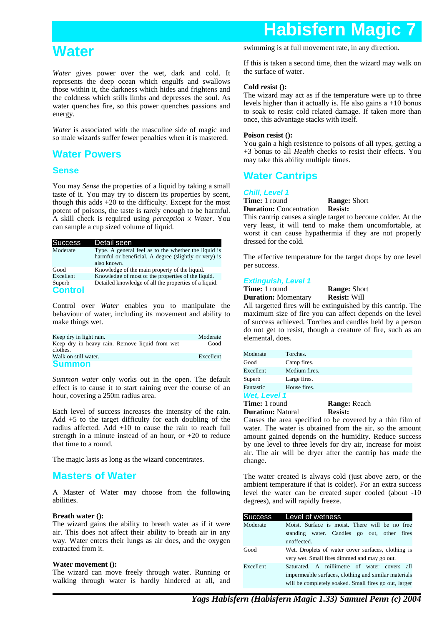# **Water**

*Water* gives power over the wet, dark and cold. It represents the deep ocean which engulfs and swallows those within it, the darkness which hides and frightens and the coldness which stills limbs and depresses the soul. As water quenches fire, so this power quenches passions and energy.

*Water* is associated with the masculine side of magic and so male wizards suffer fewer penalties when it is mastered.

### **Water Powers**

#### **Sense**

You may *Sense* the properties of a liquid by taking a small taste of it. You may try to discern its properties by scent, though this adds  $+20$  to the difficulty. Except for the most potent of poisons, the taste is rarely enough to be harmful. A skill check is required using *perception x Water*. You can sample a cup sized volume of liquid.

| <b>Success</b>           | Detail seen                                                                                                                  |
|--------------------------|------------------------------------------------------------------------------------------------------------------------------|
| Moderate                 | Type. A general feel as to the whether the liquid is<br>harmful or beneficial. A degree (slightly or very) is<br>also known. |
| Good                     | Knowledge of the main property of the liquid.                                                                                |
| Excellent                | Knowledge of most of the properties of the liquid.                                                                           |
| Superb<br><b>Control</b> | Detailed knowledge of all the properties of a liquid.                                                                        |

Control over *Water* enables you to manipulate the behaviour of water, including its movement and ability to make things wet.

| Keep dry in light rain.                        | Moderate  |
|------------------------------------------------|-----------|
| Keep dry in heavy rain. Remove liquid from wet | Good      |
| clothes.                                       |           |
| Walk on still water.                           | Excellent |
| <b>Summon</b>                                  |           |

*Summon water* only works out in the open. The default effect is to cause it to start raining over the course of an hour, covering a 250m radius area.

Each level of success increases the intensity of the rain. Add +5 to the target difficulty for each doubling of the radius affected. Add +10 to cause the rain to reach full strength in a minute instead of an hour, or +20 to reduce that time to a round.

The magic lasts as long as the wizard concentrates.

### **Masters of Water**

A Master of Water may choose from the following abilities.

#### **Breath water ():**

The wizard gains the ability to breath water as if it were air. This does not affect their ability to breath air in any way. Water enters their lungs as air does, and the oxygen extracted from it.

#### **Water movement ():**

The wizard can move freely through water. Running or walking through water is hardly hindered at all, and swimming is at full movement rate, in any direction.

If this is taken a second time, then the wizard may walk on the surface of water.

#### **Cold resist ():**

The wizard may act as if the temperature were up to three levels higher than it actually is. He also gains  $a +10$  bonus to soak to resist cold related damage. If taken more than once, this advantage stacks with itself.

#### **Poison resist ():**

You gain a high resistence to poisons of all types, getting a +3 bonus to all *Health* checks to resist their effects. You may take this ability multiple times.

### **Water Cantrips**

# **Chill, Level 1**

**Duration:** Concentration **Resist:**

**Range:** Short

This cantrip causes a single target to become colder. At the very least, it will tend to make them uncomfortable, at worst it can cause hypathermia if they are not properly dressed for the cold.

The effective temperature for the target drops by one level per success.

#### **Extinguish, Level 1**

**Time:** 1 round **Range:** Short

**Duration:** Momentary **Resist:** Will

All targetted fires will be extinguished by this cantrip. The maximum size of fire you can affect depends on the level of success achieved. Torches and candles held by a person do not get to resist, though a creature of fire, such as an elemental, does.

| Moderate             | Torches.      |                     |  |
|----------------------|---------------|---------------------|--|
| Good                 | Camp fires.   |                     |  |
| Excellent            | Medium fires. |                     |  |
| Superb               | Large fires.  |                     |  |
| Fantastic            | House fires.  |                     |  |
| <b>Wet, Level 1</b>  |               |                     |  |
| <b>Time:</b> 1 round |               | <b>Range:</b> Reach |  |

**Duration:** Natural **Resist:** 

Causes the area specified to be covered by a thin film of water. The water is obtained from the air, so the amount amount gained depends on the humidity. Reduce success by one level to three levels for dry air, increase for moist air. The air will be dryer after the cantrip has made the change.

The water created is always cold (just above zero, or the ambient temperature if that is colder). For an extra success level the water can be created super cooled (about -10 degrees), and will rapidly freeze.

| Success   | Level of wetness                                           |
|-----------|------------------------------------------------------------|
| Moderate  | Moist. Surface is moist. There will be no free             |
|           | standing water. Candles go out, other fires<br>unaffected. |
| Good      | Wet. Droplets of water cover surfaces, clothing is         |
|           | very wet. Small fires dimmed and may go out.               |
| Excellent | Saturated. A millimetre of water covers<br>- all           |
|           | impermeable surfaces, clothing and similar materials       |
|           | will be completely soaked. Small fires go out, larger      |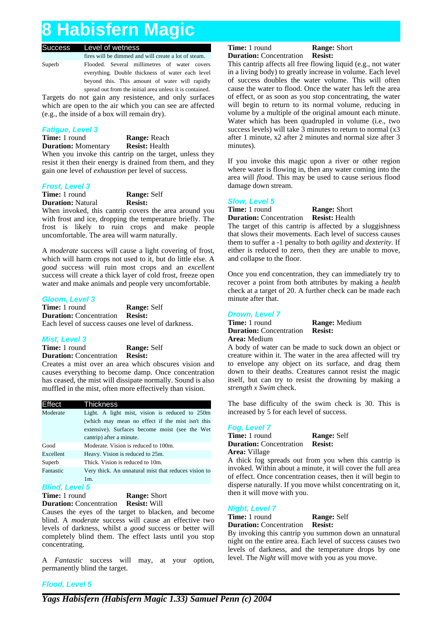| <b>Success</b> | Level of wetness           |
|----------------|----------------------------|
|                | fires will be dimmed and w |

rill create a lot of steam. Superb Flooded. Several millimetres of water covers everything. Double thickness of water each level beyond this. This amount of water will rapidly spread out from the initial area unless it is contained.

Targets do not gain any resistence, and only surfaces which are open to the air which you can see are affected (e.g., the inside of a box will remain dry).

#### **Fatigue, Level 3**

**Time:** 1 round **Range:** Reach **Duration:** Momentary **Resist:** Health When you invoke this cantrip on the target, unless they resist it then their energy is drained from them, and they gain one level of *exhaustion* per level of success.

#### **Frost, Level 3**

**Time:** 1 round **Range:** Self **Duration:** Natural **Resist:**

When invoked, this cantrip covers the area around you with frost and ice, dropping the temperature briefly. The frost is likely to ruin crops and make people uncomfortable. The area will warm naturally.

A *moderate* success will cause a light covering of frost, which will harm crops not used to it, but do little else. A *good* success will ruin most crops and an *excellent* success will create a thick layer of cold frost, freeze open water and make animals and people very uncomfortable.

#### **Gloom, Level 3**

**Time:** 1 round **Range:** Self **Duration:** Concentration **Resist:** Each level of success causes one level of darkness.

#### **Mist, Level 3**

**Time:** 1 round **Range:** Self

**Duration:** Concentration **Resist:**

Creates a mist over an area which obscures vision and causes everything to become damp. Once concentration has ceased, the mist will dissipate normally. Sound is also muffled in the mist, often more effectively than vision.

| Effect    | Thickness                                            |
|-----------|------------------------------------------------------|
| Moderate  | Light. A light mist, vision is reduced to 250m       |
|           | (which may mean no effect if the mist isn't this     |
|           | extensive). Surfaces become moist (see the Wet       |
|           | cantrip) after a minute.                             |
| Good      | Moderate. Vision is reduced to 100m.                 |
| Excellent | Heavy. Vision is reduced to 25m.                     |
| Superb    | Thick. Vision is reduced to 10m.                     |
| Fantastic | Very thick. An unnatural mist that reduces vision to |
|           | $1m$ .                                               |

#### **Blind, Level 5**

**Time:** 1 round **Range:** Short **Duration:** Concentration **Resist:** Will

Causes the eyes of the target to blacken, and become blind. A *moderate* success will cause an effective two levels of darkness, whilst a *good* success or better will completely blind them. The effect lasts until you stop concentrating.

A *Fantastic* success will may, at your option, permanently blind the target.

#### **Time:** 1 round **Range:** Short **Duration:** Concentration **Resist:**

This cantrip affects all free flowing liquid (e.g., not water in a living body) to greatly increase in volume. Each level of success doubles the water volume. This will often cause the water to flood. Once the water has left the area of effect, or as soon as you stop concentrating, the water will begin to return to its normal volume, reducing in volume by a multiple of the original amount each minute. Water which has been quadrupled in volume (i.e., two success levels) will take 3 minutes to return to normal (x3 after 1 minute, x2 after 2 minutes and normal size after 3 minutes).

If you invoke this magic upon a river or other region where water is flowing in, then any water coming into the area will *flood*. This may be used to cause serious flood damage down stream.

#### **Slow, Level 5**

**Time:** 1 round **Range:** Short

**Duration:** Concentration **Resist:** Health

The target of this cantrip is affected by a sluggishness that slows their movements. Each level of success causes them to suffer a -1 penalty to both *agility* and *dexterity*. If either is reduced to zero, then they are unable to move, and collapse to the floor.

Once you end concentration, they can immediately try to recover a point from both attributes by making a *health* check at a target of 20. A further check can be made each minute after that.

### **Drown, Level 7**

**Duration:** Concentration **Resist: Area:** Medium

**Time:** 1 round **Range:** Medium

A body of water can be made to suck down an object or creature within it. The water in the area affected will try to envelope any object on its surface, and drag them down to their deaths. Creatures cannot resist the magic itself, but can try to resist the drowning by making a *strength x Swim* check.

The base difficulty of the swim check is 30. This is increased by 5 for each level of success.

#### **Fog, Level 7**

**Area:** Village

**Duration:** Concentration

**Time:** 1 round **Range:** Self **Duration:** Concentration **Resist:** 

A thick fog spreads out from you when this cantrip is invoked. Within about a minute, it will cover the full area of effect. Once concentration ceases, then it will begin to disperse naturally. If you move whilst concentrating on it, then it will move with you.

#### **Night, Level 7**

#### **Time:** 1 round **Range:** Self

**Duration:** Concentration **Resist:**

By invoking this cantrip you summon down an unnatural night on the entire area. Each level of success causes two levels of darkness, and the temperature drops by one level. The *Night* will move with you as you move.

**Flood, Level 5**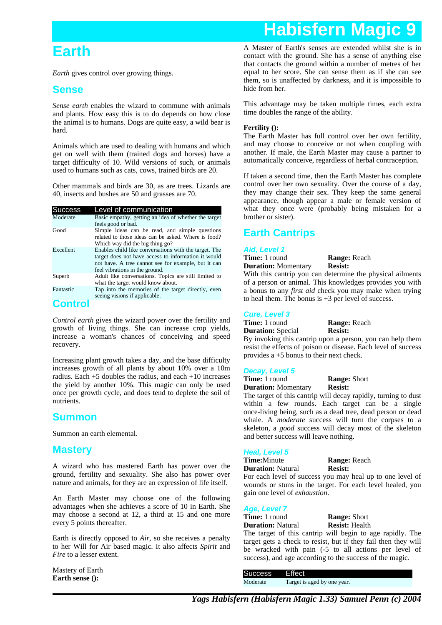# **Earth**

*Earth* gives control over growing things.

### **Sense**

*Sense earth* enables the wizard to commune with animals and plants. How easy this is to do depends on how close the animal is to humans. Dogs are quite easy, a wild bear is hard.

Animals which are used to dealing with humans and which get on well with them (trained dogs and horses) have a target difficulty of 10. Wild versions of such, or animals used to humans such as cats, cows, trained birds are 20.

Other mammals and birds are 30, as are trees. Lizards are 40, insects and bushes are 50 and grasses are 70.

| <b>Success</b> | Level of communication                                                                                                                                                                                |
|----------------|-------------------------------------------------------------------------------------------------------------------------------------------------------------------------------------------------------|
| Moderate       | Basic empathy, getting an idea of whether the target<br>feels good or bad.                                                                                                                            |
| Good           | Simple ideas can be read, and simple questions<br>related to those ideas can be asked. Where is food?<br>Which way did the big thing go?                                                              |
| Excellent      | Enables child like conversations with the target. The<br>target does not have access to information it would<br>not have. A tree cannot see for example, but it can<br>feel vibrations in the ground. |
| Superb         | Adult like conversations. Topics are still limited to<br>what the target would know about.                                                                                                            |
| Fantastic      | Tap into the memories of the target directly, even<br>seeing visions if applicable.                                                                                                                   |

#### **Control**

*Control earth* gives the wizard power over the fertility and growth of living things. She can increase crop yields, increase a woman's chances of conceiving and speed recovery.

Increasing plant growth takes a day, and the base difficulty increases growth of all plants by about 10% over a 10m radius. Each  $+5$  doubles the radius, and each  $+10$  increases the yield by another 10%. This magic can only be used once per growth cycle, and does tend to deplete the soil of nutrients.

### **Summon**

Summon an earth elemental.

### **Mastery**

A wizard who has mastered Earth has power over the ground, fertility and sexuality. She also has power over nature and animals, for they are an expression of life itself.

An Earth Master may choose one of the following advantages when she achieves a score of 10 in Earth. She may choose a second at 12, a third at 15 and one more every 5 points thereafter.

Earth is directly opposed to *Air*, so she receives a penalty to her Will for Air based magic. It also affects *Spirit* and *Fire* to a lesser extent.

Mastery of Earth **Earth sense ():**

A Master of Earth's senses are extended whilst she is in contact with the ground. She has a sense of anything else that contacts the ground within a number of metres of her equal to her score. She can sense them as if she can see them, so is unaffected by darkness, and it is impossible to hide from her.

This advantage may be taken multiple times, each extra time doubles the range of the ability.

#### **Fertility ():**

The Earth Master has full control over her own fertility, and may choose to conceive or not when coupling with another. If male, the Earth Master may cause a partner to automatically conceive, regardless of herbal contraception.

If taken a second time, then the Earth Master has complete control over her own sexuality. Over the course of a day, they may change their sex. They keep the same general appearance, though appear a male or female version of what they once were (probably being mistaken for a brother or sister).

# **Earth Cantrips**

# **Aid, Level 1**

**Duration:** Momentary **Resist:**

With this cantrip you can determine the physical ailments of a person or animal. This knowledges provides you with a bonus to any *first aid* check you may make when trying to heal them. The bonus is  $+3$  per level of success.

**Range:** Reach

#### **Cure, Level 3**

**Time:** 1 round **Range:** Reach

**Duration:** Special **Resist:** By invoking this cantrip upon a person, you can help them resist the effects of poison or disease. Each level of success provides a +5 bonus to their next check.

#### **Decay, Level 5**

**Time:** 1 round **Range:** Short

**Duration:** Momentary **Resist:**

The target of this cantrip will decay rapidly, turning to dust within a few rounds. Each target can be a single once-living being, such as a dead tree, dead person or dead whale. A *moderate* success will turn the corpses to a skeleton, a *good* success will decay most of the skeleton and better success will leave nothing.

# **Heal, Level 5**<br>Time: Minute

**Duration:** Natural **Resist:**

**Range:** Reach

For each level of success you may heal up to one level of wounds or stuns in the target. For each level healed, you gain one level of *exhaustion*.

#### **Age, Level 7**

**Time:** 1 round **Range:** Short<br> **Duration:** Natural **Resist:** Health **Duration:** Natural

The target of this cantrip will begin to age rapidly. The target gets a check to resist, but if they fail then they will be wracked with pain (-5 to all actions per level of success), and age according to the success of the magic.

Success Effect Moderate Target is aged by one year.

*Yags Habisfern (Habisfern Magic 1.33) Samuel Penn (c) 2004*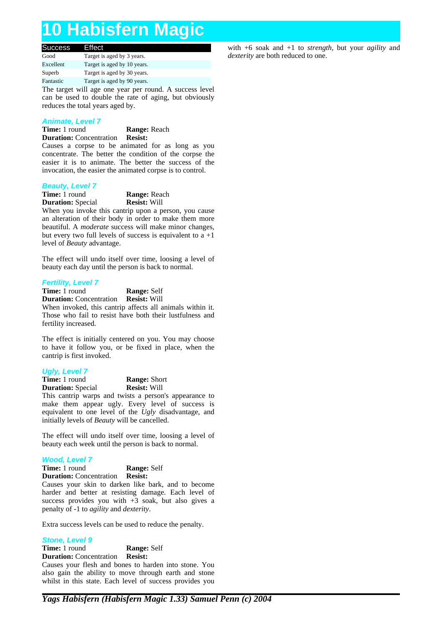| <b>Success</b> | Effect                      |
|----------------|-----------------------------|
| Good           | Target is aged by 3 years.  |
| Excellent      | Target is aged by 10 years. |
| Superb         | Target is aged by 30 years. |
| Fantastic      | Target is aged by 90 years. |

The target will age one year per round. A success level can be used to double the rate of aging, but obviously reduces the total years aged by.

#### **Animate, Level 7**

**Time:** 1 round **Range:** Reach

**Duration:** Concentration **Resist:** Causes a corpse to be animated for as long as you concentrate. The better the condition of the corpse the easier it is to animate. The better the success of the invocation, the easier the animated corpse is to control.

# **Beauty, Level 7**<br>Time: 1 round

**Range:** Reach

**Duration:** Special **Resist:** Will When you invoke this cantrip upon a person, you cause an alteration of their body in order to make them more beautiful. A *moderate* success will make minor changes, but every two full levels of success is equivalent to  $a +1$ level of *Beauty* advantage.

The effect will undo itself over time, loosing a level of beauty each day until the person is back to normal.

#### **Fertility, Level 7**

**Time:** 1 round **Range:** Self **Duration:** Concentration **Resist:** Will When invoked, this cantrip affects all animals within it.

Those who fail to resist have both their lustfulness and fertility increased.

The effect is initially centered on you. You may choose to have it follow you, or be fixed in place, when the cantrip is first invoked.

#### **Ugly, Level 7**

**Time:** 1 round **Range:** Short

**Duration:** Special **Resist:** Will

This cantrip warps and twists a person's appearance to make them appear ugly. Every level of success is equivalent to one level of the *Ugly* disadvantage, and initially levels of *Beauty* will be cancelled.

The effect will undo itself over time, loosing a level of beauty each week until the person is back to normal.

#### **Wood, Level 7**

**Time:** 1 round **Range:** Self

**Duration:** Concentration **Resist:**

Causes your skin to darken like bark, and to become harder and better at resisting damage. Each level of success provides you with  $+3$  soak, but also gives a penalty of -1 to *agility* and *dexterity*.

Extra success levels can be used to reduce the penalty.

#### **Stone, Level 9**

**Time:** 1 round **Range:** Self **Duration:** Concentration **Resist:** Causes your flesh and bones to harden into stone. You also gain the ability to move through earth and stone whilst in this state. Each level of success provides you

with +6 soak and +1 to *strength*, but your *agility* and *dexterity* are both reduced to one.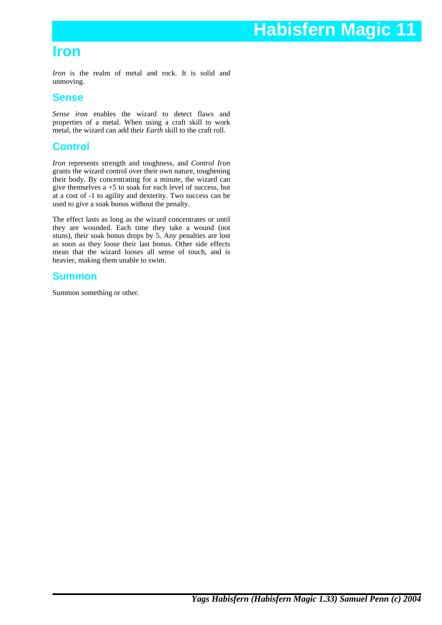# **Iron**

*Iron* is the realm of metal and rock. It is solid and unmoving.

## **Sense**

*Sense iron* enables the wizard to detect flaws and properties of a metal. When using a craft skill to work metal, the wizard can add their *Earth* skill to the craft roll.

# **Control**

*Iron* represents strength and toughness, and *Control Iron* grants the wizard control over their own nature, toughening their body. By concentrating for a minute, the wizard can give themselves a +5 to soak for each level of success, but at a cost of -1 to agility and dexterity. Two success can be used to give a soak bonus without the penalty.

The effect lasts as long as the wizard concentrates or until they are wounded. Each time they take a wound (not stuns), their soak bonus drops by 5. Any penalties are lost as soon as they loose their last bonus. Other side effects mean that the wizard looses all sense of touch, and is heavier, making them unable to swim.

## **Summon**

Summon something or other.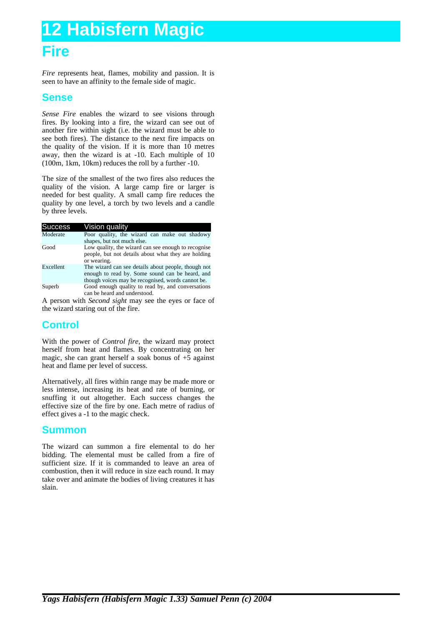# **Fire 12 Habisfern Magic**

*Fire* represents heat, flames, mobility and passion. It is seen to have an affinity to the female side of magic.

### **Sense**

*Sense Fire* enables the wizard to see visions through fires. By looking into a fire, the wizard can see out of another fire within sight (i.e. the wizard must be able to see both fires). The distance to the next fire impacts on the quality of the vision. If it is more than 10 metres away, then the wizard is at -10. Each multiple of 10 (100m, 1km, 10km) reduces the roll by a further -10.

The size of the smallest of the two fires also reduces the quality of the vision. A large camp fire or larger is needed for best quality. A small camp fire reduces the quality by one level, a torch by two levels and a candle by three levels.

| <b>Success</b> | Vision quality                                                                                                                                              |  |  |
|----------------|-------------------------------------------------------------------------------------------------------------------------------------------------------------|--|--|
| Moderate       | Poor quality, the wizard can make out shadowy<br>shapes, but not much else.                                                                                 |  |  |
| Good           | Low quality, the wizard can see enough to recognise<br>people, but not details about what they are holding<br>or wearing.                                   |  |  |
| Excellent      | The wizard can see details about people, though not<br>enough to read by. Some sound can be heard, and<br>though voices may be recognised, words cannot be. |  |  |
| Superb         | Good enough quality to read by, and conversations<br>can be heard and understood.                                                                           |  |  |
|                |                                                                                                                                                             |  |  |

A person with *Second sight* may see the eyes or face of the wizard staring out of the fire.

# **Control**

With the power of *Control fire*, the wizard may protect herself from heat and flames. By concentrating on her magic, she can grant herself a soak bonus of +5 against heat and flame per level of success.

Alternatively, all fires within range may be made more or less intense, increasing its heat and rate of burning, or snuffing it out altogether. Each success changes the effective size of the fire by one. Each metre of radius of effect gives a -1 to the magic check.

# **Summon**

The wizard can summon a fire elemental to do her bidding. The elemental must be called from a fire of sufficient size. If it is commanded to leave an area of combustion, then it will reduce in size each round. It may take over and animate the bodies of living creatures it has slain.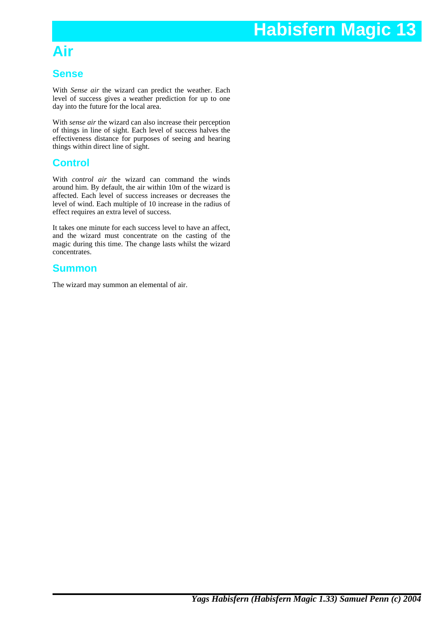# **Air**

### **Sense**

With *Sense air* the wizard can predict the weather. Each level of success gives a weather prediction for up to one day into the future for the local area.

With *sense air* the wizard can also increase their perception of things in line of sight. Each level of success halves the effectiveness distance for purposes of seeing and hearing things within direct line of sight.

# **Control**

With *control air* the wizard can command the winds around him. By default, the air within 10m of the wizard is affected. Each level of success increases or decreases the level of wind. Each multiple of 10 increase in the radius of effect requires an extra level of success.

It takes one minute for each success level to have an affect, and the wizard must concentrate on the casting of the magic during this time. The change lasts whilst the wizard concentrates.

# **Summon**

The wizard may summon an elemental of air.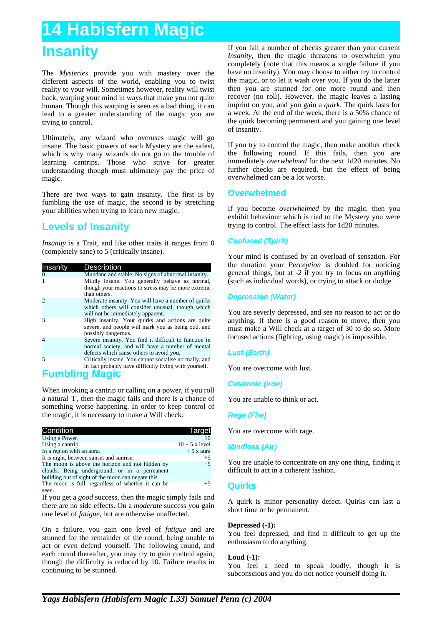# **Insanity 14 Habisfern Magic**

The *Mysteries* provide you with mastery over the different aspects of the world, enabling you to twist reality to your will. Sometimes however, reality will twist back, warping your mind in ways that make you not quite human. Though this warping is seen as a bad thing, it can lead to a greater understanding of the magic you are trying to control.

Ultimately, any wizard who overuses magic will go insane. The basic powers of each Mystery are the safest, which is why many wizards do not go to the trouble of learning cantrips. Those who strive for greater understanding though must ultimately pay the price of magic.

There are two ways to gain insanity. The first is by fumbling the use of magic, the second is by stretching your abilities when trying to learn new magic.

# **Levels of Insanity**

*Insanity* is a Trait, and like other traits it ranges from 0 (completely sane) to 5 (critically insane).

| Insanity       | <b>Description</b>                                                                                                                                    |
|----------------|-------------------------------------------------------------------------------------------------------------------------------------------------------|
| $\Omega$       | Mundane and stable. No signs of abnormal insanity.                                                                                                    |
|                | Mildly insane. You generally behave as normal,<br>though your reactions to stress may be more extreme<br>than others.                                 |
| $\overline{2}$ | Moderate insanity. You will have a number of quirks<br>which others will consider unusual, though which<br>will not be immediately apparent.          |
| $\mathcal{R}$  | High insanity. Your quirks and actions are quite<br>severe, and people will mark you as being odd, and<br>possibly dangerous.                         |
| $\overline{4}$ | Severe insanity. You find it difficult to function in<br>normal society, and will have a number of mental<br>defects which cause others to avoid you. |
| 5              | Critically insane. You cannot socialise normally, and<br>in fact probably have difficulty living with yourself.                                       |

### **Fumbling Magic**

When invoking a cantrip or calling on a power, if you roll a natural '1', then the magic fails and there is a chance of something worse happening. In order to keep control of the magic, it is necessary to make a Will check.

| Condition                                                                                                                                             | Target           |
|-------------------------------------------------------------------------------------------------------------------------------------------------------|------------------|
| Using a Power.                                                                                                                                        |                  |
| Using a cantrip.                                                                                                                                      | $10 + 5$ x level |
| In a region with an aura.                                                                                                                             | $+5x$ aura       |
| It is night, between sunset and sunrise.                                                                                                              | $+5$             |
| The moon is above the horizon and not hidden by<br>clouds. Being underground, or in a permanent<br>building out of sight of the moon can negate this. | $+5$             |
| The moon is full, regardless of whether it can be<br>seen.                                                                                            | $+5$             |

If you get a *good* success, then the magic simply fails and there are no side effects. On a *moderate* success you gain one level of *fatigue*, but are otherwise unaffected.

On a failure, you gain one level of *fatigue* and are stunned for the remainder of the round, being unable to act or even defend yourself. The following round, and each round thereafter, you may try to gain control again, though the difficulty is reduced by 10. Failure results in continuing to be stunned.

If you fail a number of checks greater than your current *Insanity*, then the magic threatens to overwhelm you completely (note that this means a single failure if you have no insanity). You may choose to either try to control the magic, or to let it wash over you. If you do the latter then you are stunned for one more round and then recover (no roll). However, the magic leaves a lasting imprint on you, and you gain a *quirk*. The quirk lasts for a week. At the end of the week, there is a 50% chance of the quirk becoming permanent and you gaining one level of insanity.

If you try to control the magic, then make another check the following round. If this fails, then you are immediately *overwhelmed* for the next 1d20 minutes. No further checks are required, but the effect of being overwhelmed can be a lot worse.

#### **Overwhelmed**

If you become *overwhelmed* by the magic, then you exhibit behaviour which is tied to the Mystery you were trying to control. The effect lasts for 1d20 minutes.

#### **Confused (Spirit)**

Your mind is confused by an overload of sensation. For the duration your *Perception* is doubled for noticing general things, but at -2 if you try to focus on anything (such as individual words), or trying to attack or dodge.

#### **Depression (Water)**

You are severly depressed, and see no reason to act or do anything. If there is a good reason to move, then you must make a Will check at a target of 30 to do so. More focused actions (fighting, using magic) is impossible.

#### **Lust (Earth)**

You are overcome with lust.

#### **Catatonic (Iron)**

You are unable to think or act.

#### **Rage (Fire)**

You are overcome with rage.

#### **Mindless (Air)**

You are unable to concentrate on any one thing, finding it difficult to act in a coherent fashion.

#### **Quirks**

A quirk is minor personality defect. Quirks can last a short time or be permanent.

#### **Depressed (-1):**

You feel depressed, and find it difficult to get up the enthusiasm to do anything.

#### **Loud (-1):**

You feel a need to speak loudly, though it is subconscious and you do not notice yourself doing it.